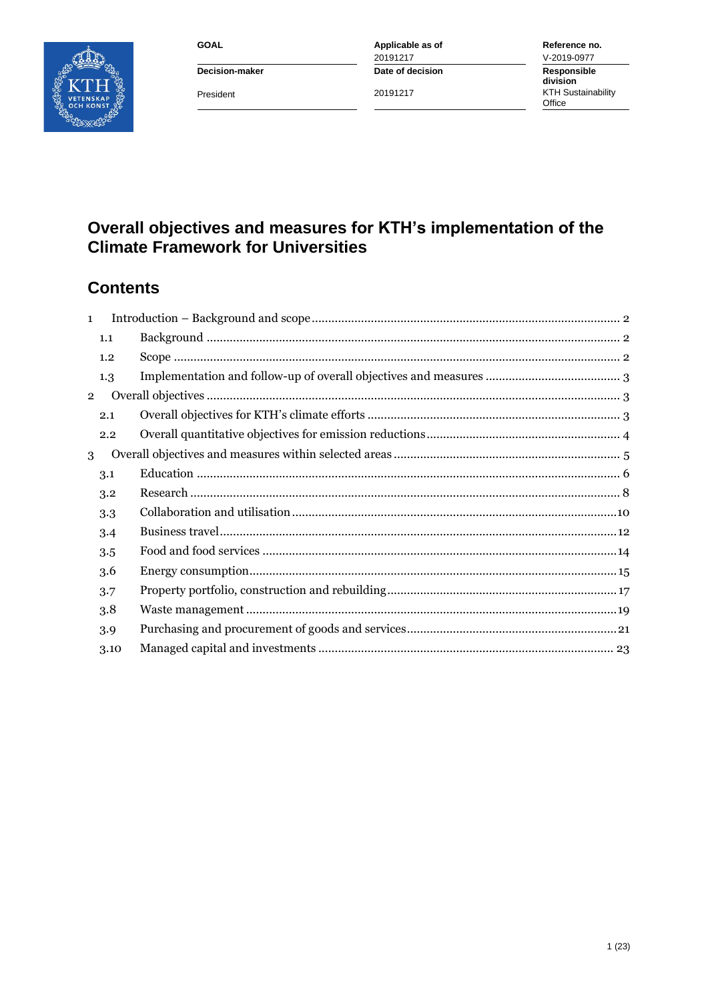**GOAL** 



Decision-maker President

Applicable as of 20191217 Date of decision

20191217

Reference no. V-2019-0977 Responsible division KTH Sustainability<br>Office

# Overall objectives and measures for KTH's implementation of the<br>Climate Framework for Universities

## **Contents**

| $\mathbf{1}$   |      |  |
|----------------|------|--|
|                | 1.1  |  |
|                | 1.2  |  |
|                | 1.3  |  |
| $\overline{2}$ |      |  |
|                | 2.1  |  |
|                | 2.2  |  |
| 3              |      |  |
|                | 3.1  |  |
|                | 3.2  |  |
|                | 3.3  |  |
|                | 3.4  |  |
|                | 3.5  |  |
|                | 3.6  |  |
|                | 3.7  |  |
|                | 3.8  |  |
|                | 3.9  |  |
|                | 3.10 |  |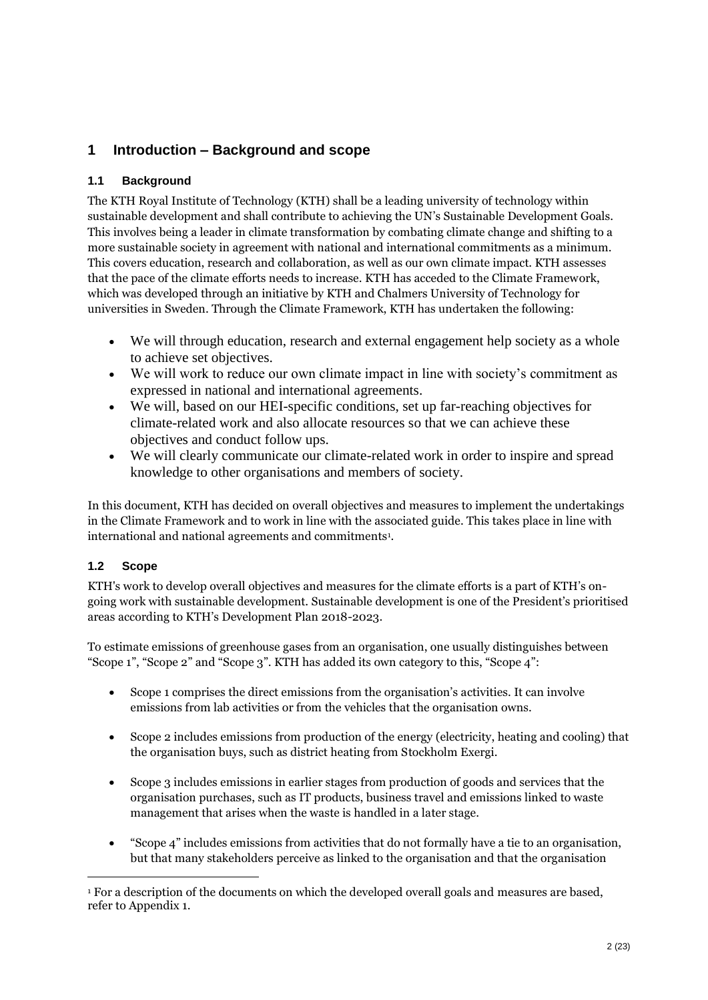## <span id="page-1-0"></span>**1 Introduction – Background and scope**

### <span id="page-1-1"></span>**1.1 Background**

The KTH Royal Institute of Technology (KTH) shall be a leading university of technology within sustainable development and shall contribute to achieving the UN's Sustainable Development Goals. This involves being a leader in climate transformation by combating climate change and shifting to a more sustainable society in agreement with national and international commitments as a minimum. This covers education, research and collaboration, as well as our own climate impact. KTH assesses that the pace of the climate efforts needs to increase. KTH has acceded to the Climate Framework, which was developed through an initiative by KTH and Chalmers University of Technology for universities in Sweden. Through the Climate Framework, KTH has undertaken the following:

- We will through education, research and external engagement help society as a whole to achieve set objectives.
- We will work to reduce our own climate impact in line with society's commitment as expressed in national and international agreements.
- We will, based on our HEI-specific conditions, set up far-reaching objectives for climate-related work and also allocate resources so that we can achieve these objectives and conduct follow ups.
- We will clearly communicate our climate-related work in order to inspire and spread knowledge to other organisations and members of society.

In this document, KTH has decided on overall objectives and measures to implement the undertakings in the Climate Framework and to work in line with the associated guide. This takes place in line with international and national agreements and commitments<sup>1</sup>.

## <span id="page-1-2"></span>**1.2 Scope**

 $\overline{a}$ 

KTH's work to develop overall objectives and measures for the climate efforts is a part of KTH's ongoing work with sustainable development. Sustainable development is one of the President's prioritised areas according to KTH's Development Plan 2018-2023.

To estimate emissions of greenhouse gases from an organisation, one usually distinguishes between "Scope 1", "Scope 2" and "Scope 3". KTH has added its own category to this, "Scope 4":

- Scope 1 comprises the direct emissions from the organisation's activities. It can involve emissions from lab activities or from the vehicles that the organisation owns.
- Scope 2 includes emissions from production of the energy (electricity, heating and cooling) that the organisation buys, such as district heating from Stockholm Exergi.
- Scope 3 includes emissions in earlier stages from production of goods and services that the organisation purchases, such as IT products, business travel and emissions linked to waste management that arises when the waste is handled in a later stage.
- "Scope 4" includes emissions from activities that do not formally have a tie to an organisation, but that many stakeholders perceive as linked to the organisation and that the organisation

<sup>&</sup>lt;sup>1</sup> For a description of the documents on which the developed overall goals and measures are based, refer to Appendix 1.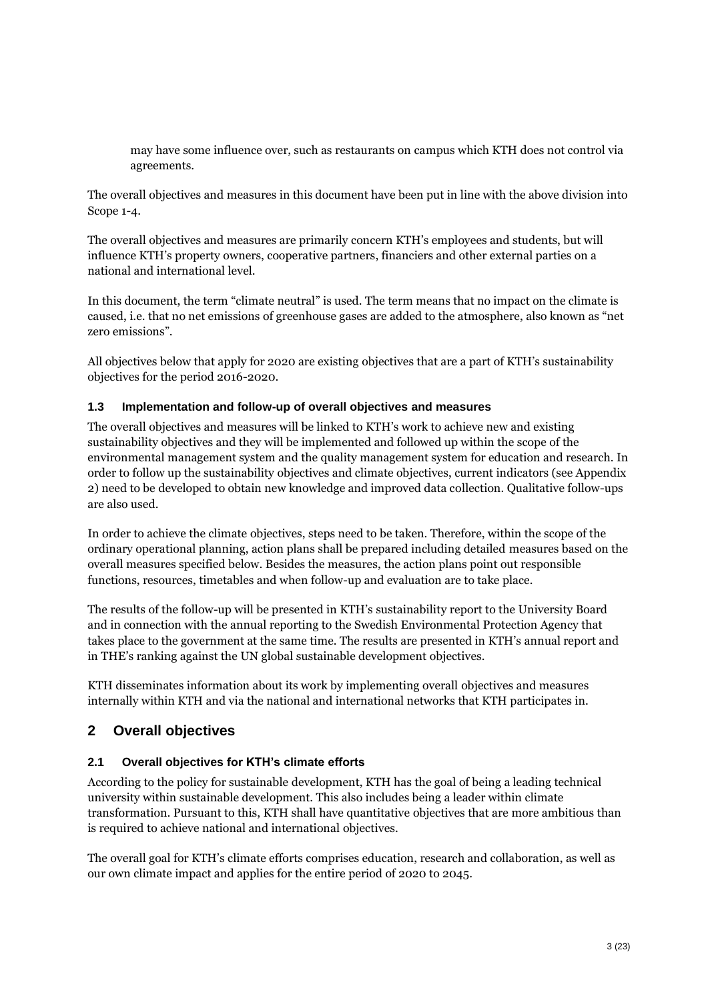may have some influence over, such as restaurants on campus which KTH does not control via agreements.

The overall objectives and measures in this document have been put in line with the above division into Scope 1-4.

The overall objectives and measures are primarily concern KTH's employees and students, but will influence KTH's property owners, cooperative partners, financiers and other external parties on a national and international level.

In this document, the term "climate neutral" is used. The term means that no impact on the climate is caused, i.e. that no net emissions of greenhouse gases are added to the atmosphere, also known as "net zero emissions".

All objectives below that apply for 2020 are existing objectives that are a part of KTH's sustainability objectives for the period 2016-2020.

#### <span id="page-2-0"></span>**1.3 Implementation and follow-up of overall objectives and measures**

The overall objectives and measures will be linked to KTH's work to achieve new and existing sustainability objectives and they will be implemented and followed up within the scope of the environmental management system and the quality management system for education and research. In order to follow up the sustainability objectives and climate objectives, current indicators (see Appendix 2) need to be developed to obtain new knowledge and improved data collection. Qualitative follow-ups are also used.

In order to achieve the climate objectives, steps need to be taken. Therefore, within the scope of the ordinary operational planning, action plans shall be prepared including detailed measures based on the overall measures specified below. Besides the measures, the action plans point out responsible functions, resources, timetables and when follow-up and evaluation are to take place.

The results of the follow-up will be presented in KTH's sustainability report to the University Board and in connection with the annual reporting to the Swedish Environmental Protection Agency that takes place to the government at the same time. The results are presented in KTH's annual report and in THE's ranking against the UN global sustainable development objectives.

KTH disseminates information about its work by implementing overall objectives and measures internally within KTH and via the national and international networks that KTH participates in.

## <span id="page-2-1"></span>**2 Overall objectives**

#### <span id="page-2-2"></span>**2.1 Overall objectives for KTH's climate efforts**

According to the policy for sustainable development, KTH has the goal of being a leading technical university within sustainable development. This also includes being a leader within climate transformation. Pursuant to this, KTH shall have quantitative objectives that are more ambitious than is required to achieve national and international objectives.

The overall goal for KTH's climate efforts comprises education, research and collaboration, as well as our own climate impact and applies for the entire period of 2020 to 2045.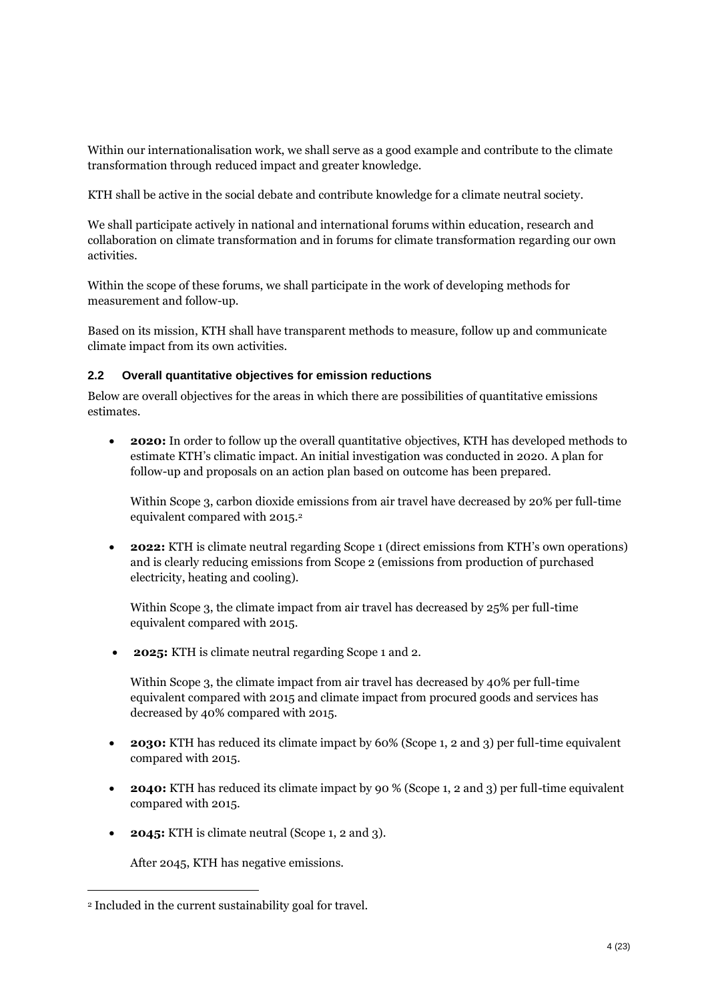Within our internationalisation work, we shall serve as a good example and contribute to the climate transformation through reduced impact and greater knowledge.

KTH shall be active in the social debate and contribute knowledge for a climate neutral society.

We shall participate actively in national and international forums within education, research and collaboration on climate transformation and in forums for climate transformation regarding our own activities.

Within the scope of these forums, we shall participate in the work of developing methods for measurement and follow-up.

Based on its mission, KTH shall have transparent methods to measure, follow up and communicate climate impact from its own activities.

#### <span id="page-3-0"></span>**2.2 Overall quantitative objectives for emission reductions**

Below are overall objectives for the areas in which there are possibilities of quantitative emissions estimates.

 **2020:** In order to follow up the overall quantitative objectives, KTH has developed methods to estimate KTH's climatic impact. An initial investigation was conducted in 2020. A plan for follow-up and proposals on an action plan based on outcome has been prepared.

Within Scope 3, carbon dioxide emissions from air travel have decreased by 20% per full-time equivalent compared with 2015.<sup>2</sup>

 **2022:** KTH is climate neutral regarding Scope 1 (direct emissions from KTH's own operations) and is clearly reducing emissions from Scope 2 (emissions from production of purchased electricity, heating and cooling).

Within Scope 3, the climate impact from air travel has decreased by 25% per full-time equivalent compared with 2015.

**2025:** KTH is climate neutral regarding Scope 1 and 2.

Within Scope 3, the climate impact from air travel has decreased by 40% per full-time equivalent compared with 2015 and climate impact from procured goods and services has decreased by 40% compared with 2015.

- **2030:** KTH has reduced its climate impact by 60% (Scope 1, 2 and 3) per full-time equivalent compared with 2015.
- **2040:** KTH has reduced its climate impact by 90 % (Scope 1, 2 and 3) per full-time equivalent compared with 2015.
- **2045:** KTH is climate neutral (Scope 1, 2 and 3).

After 2045, KTH has negative emissions.

<sup>2</sup> Included in the current sustainability goal for travel.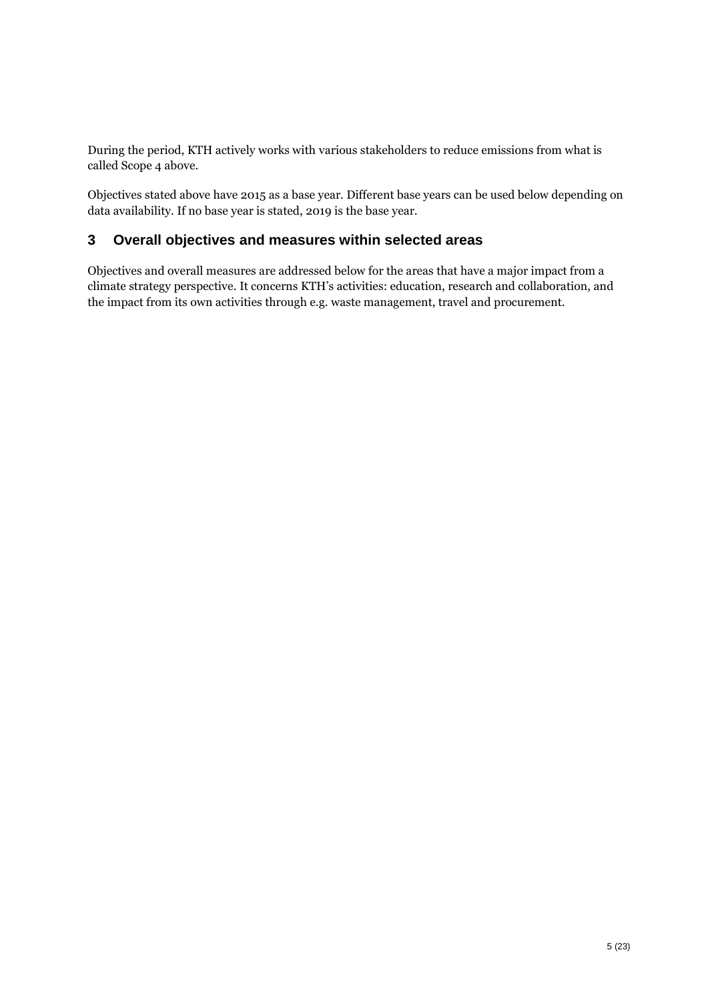During the period, KTH actively works with various stakeholders to reduce emissions from what is called Scope 4 above.

Objectives stated above have 2015 as a base year. Different base years can be used below depending on data availability. If no base year is stated, 2019 is the base year.

## <span id="page-4-0"></span>**3 Overall objectives and measures within selected areas**

Objectives and overall measures are addressed below for the areas that have a major impact from a climate strategy perspective. It concerns KTH's activities: education, research and collaboration, and the impact from its own activities through e.g. waste management, travel and procurement.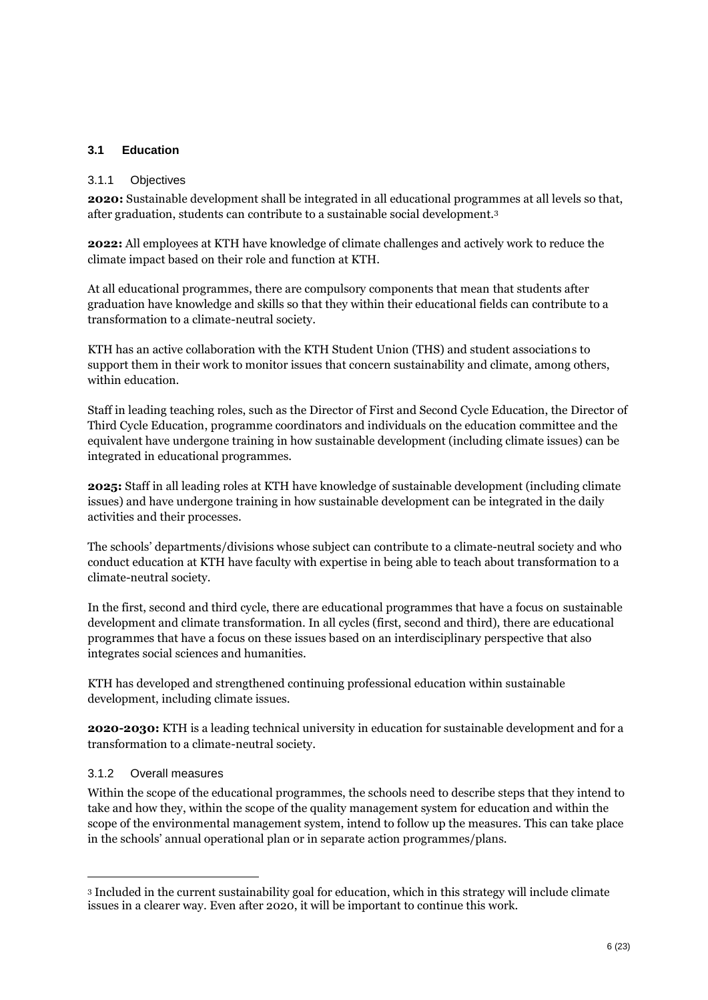#### <span id="page-5-0"></span>**3.1 Education**

#### 3.1.1 Objectives

**2020:** Sustainable development shall be integrated in all educational programmes at all levels so that, after graduation, students can contribute to a sustainable social development.<sup>3</sup>

**2022:** All employees at KTH have knowledge of climate challenges and actively work to reduce the climate impact based on their role and function at KTH.

At all educational programmes, there are compulsory components that mean that students after graduation have knowledge and skills so that they within their educational fields can contribute to a transformation to a climate-neutral society.

KTH has an active collaboration with the KTH Student Union (THS) and student associations to support them in their work to monitor issues that concern sustainability and climate, among others, within education.

Staff in leading teaching roles, such as the Director of First and Second Cycle Education, the Director of Third Cycle Education, programme coordinators and individuals on the education committee and the equivalent have undergone training in how sustainable development (including climate issues) can be integrated in educational programmes.

**2025:** Staff in all leading roles at KTH have knowledge of sustainable development (including climate issues) and have undergone training in how sustainable development can be integrated in the daily activities and their processes.

The schools' departments/divisions whose subject can contribute to a climate-neutral society and who conduct education at KTH have faculty with expertise in being able to teach about transformation to a climate-neutral society.

In the first, second and third cycle, there are educational programmes that have a focus on sustainable development and climate transformation. In all cycles (first, second and third), there are educational programmes that have a focus on these issues based on an interdisciplinary perspective that also integrates social sciences and humanities.

KTH has developed and strengthened continuing professional education within sustainable development, including climate issues.

**2020-2030:** KTH is a leading technical university in education for sustainable development and for a transformation to a climate-neutral society.

#### 3.1.2 Overall measures

 $\overline{a}$ 

Within the scope of the educational programmes, the schools need to describe steps that they intend to take and how they, within the scope of the quality management system for education and within the scope of the environmental management system, intend to follow up the measures. This can take place in the schools' annual operational plan or in separate action programmes/plans.

<sup>3</sup> Included in the current sustainability goal for education, which in this strategy will include climate issues in a clearer way. Even after 2020, it will be important to continue this work.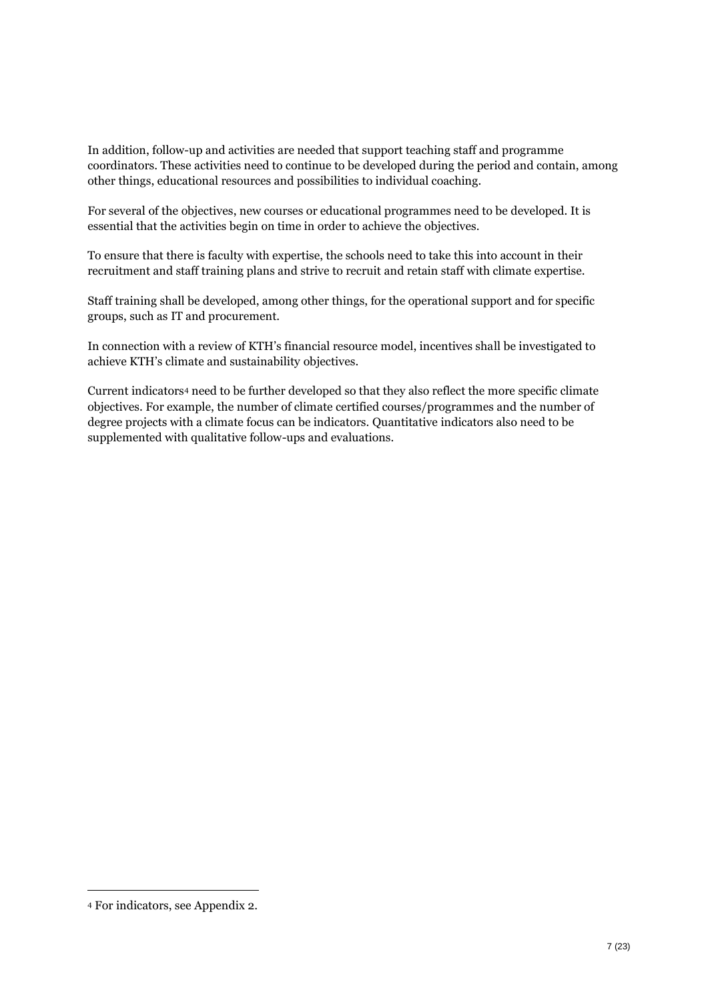In addition, follow-up and activities are needed that support teaching staff and programme coordinators. These activities need to continue to be developed during the period and contain, among other things, educational resources and possibilities to individual coaching.

For several of the objectives, new courses or educational programmes need to be developed. It is essential that the activities begin on time in order to achieve the objectives.

To ensure that there is faculty with expertise, the schools need to take this into account in their recruitment and staff training plans and strive to recruit and retain staff with climate expertise.

Staff training shall be developed, among other things, for the operational support and for specific groups, such as IT and procurement.

In connection with a review of KTH's financial resource model, incentives shall be investigated to achieve KTH's climate and sustainability objectives.

Current indicators<sup>4</sup> need to be further developed so that they also reflect the more specific climate objectives. For example, the number of climate certified courses/programmes and the number of degree projects with a climate focus can be indicators. Quantitative indicators also need to be supplemented with qualitative follow-ups and evaluations.

<sup>4</sup> For indicators, see Appendix 2.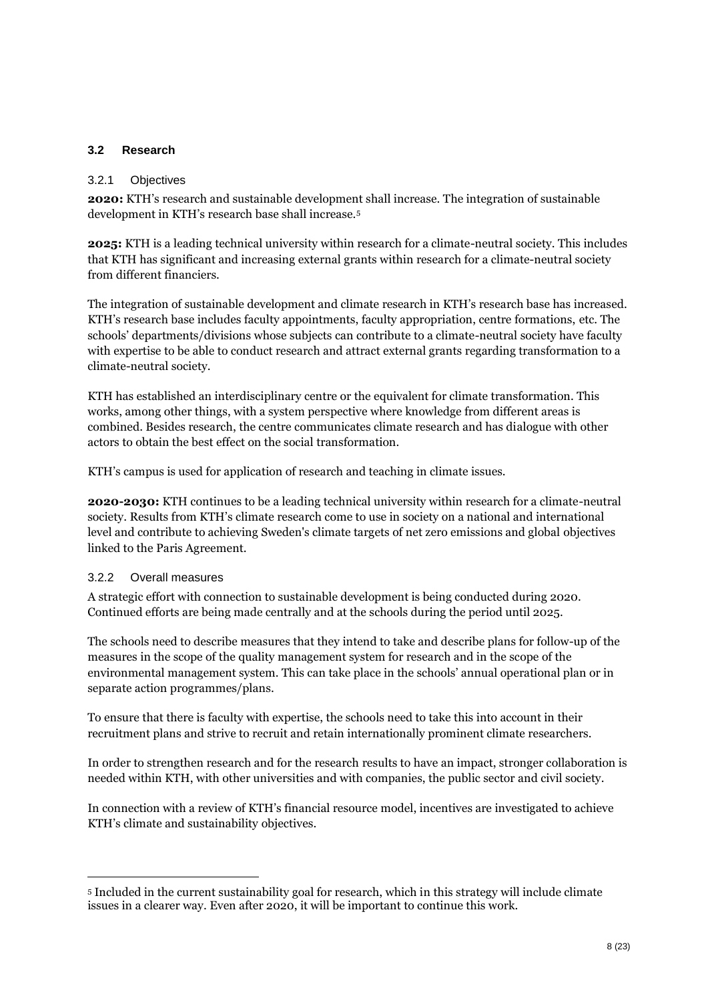#### <span id="page-7-0"></span>**3.2 Research**

#### 3.2.1 Objectives

**2020:** KTH's research and sustainable development shall increase. The integration of sustainable development in KTH's research base shall increase.<sup>5</sup>

**2025:** KTH is a leading technical university within research for a climate-neutral society. This includes that KTH has significant and increasing external grants within research for a climate-neutral society from different financiers.

The integration of sustainable development and climate research in KTH's research base has increased. KTH's research base includes faculty appointments, faculty appropriation, centre formations, etc. The schools' departments/divisions whose subjects can contribute to a climate-neutral society have faculty with expertise to be able to conduct research and attract external grants regarding transformation to a climate-neutral society.

KTH has established an interdisciplinary centre or the equivalent for climate transformation. This works, among other things, with a system perspective where knowledge from different areas is combined. Besides research, the centre communicates climate research and has dialogue with other actors to obtain the best effect on the social transformation.

KTH's campus is used for application of research and teaching in climate issues.

**2020-2030:** KTH continues to be a leading technical university within research for a climate-neutral society. Results from KTH's climate research come to use in society on a national and international level and contribute to achieving Sweden's climate targets of net zero emissions and global objectives linked to the Paris Agreement.

#### 3.2.2 Overall measures

 $\overline{a}$ 

A strategic effort with connection to sustainable development is being conducted during 2020. Continued efforts are being made centrally and at the schools during the period until 2025.

The schools need to describe measures that they intend to take and describe plans for follow-up of the measures in the scope of the quality management system for research and in the scope of the environmental management system. This can take place in the schools' annual operational plan or in separate action programmes/plans.

To ensure that there is faculty with expertise, the schools need to take this into account in their recruitment plans and strive to recruit and retain internationally prominent climate researchers.

In order to strengthen research and for the research results to have an impact, stronger collaboration is needed within KTH, with other universities and with companies, the public sector and civil society.

In connection with a review of KTH's financial resource model, incentives are investigated to achieve KTH's climate and sustainability objectives.

<sup>5</sup> Included in the current sustainability goal for research, which in this strategy will include climate issues in a clearer way. Even after 2020, it will be important to continue this work.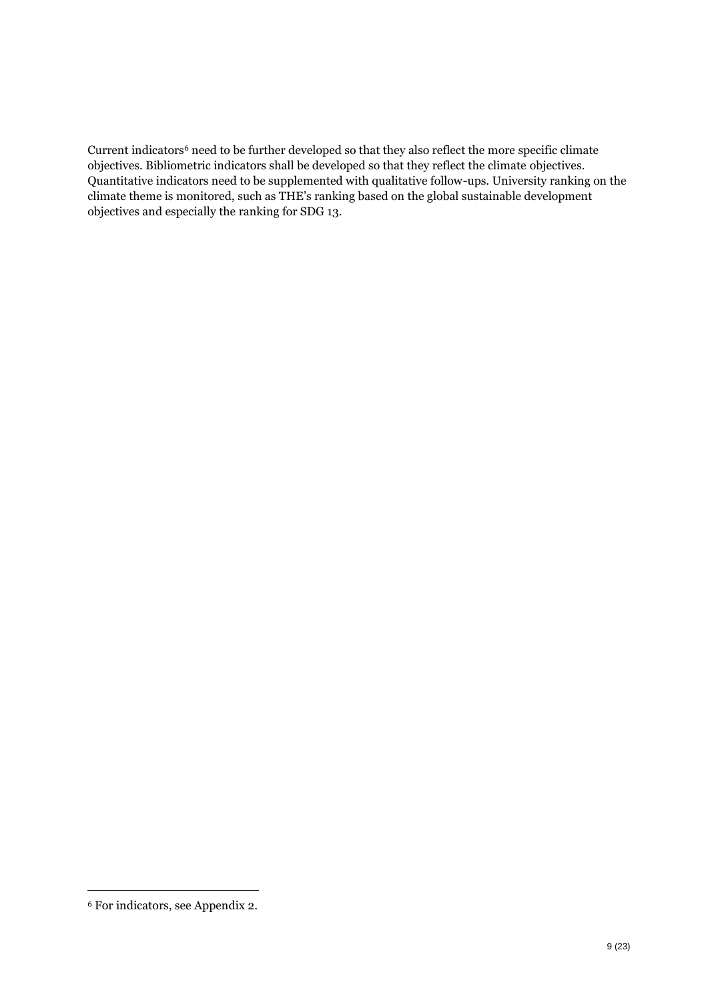Current indicators<sup>6</sup> need to be further developed so that they also reflect the more specific climate objectives. Bibliometric indicators shall be developed so that they reflect the climate objectives. Quantitative indicators need to be supplemented with qualitative follow-ups. University ranking on the climate theme is monitored, such as THE's ranking based on the global sustainable development objectives and especially the ranking for SDG 13.

<sup>6</sup> For indicators, see Appendix 2.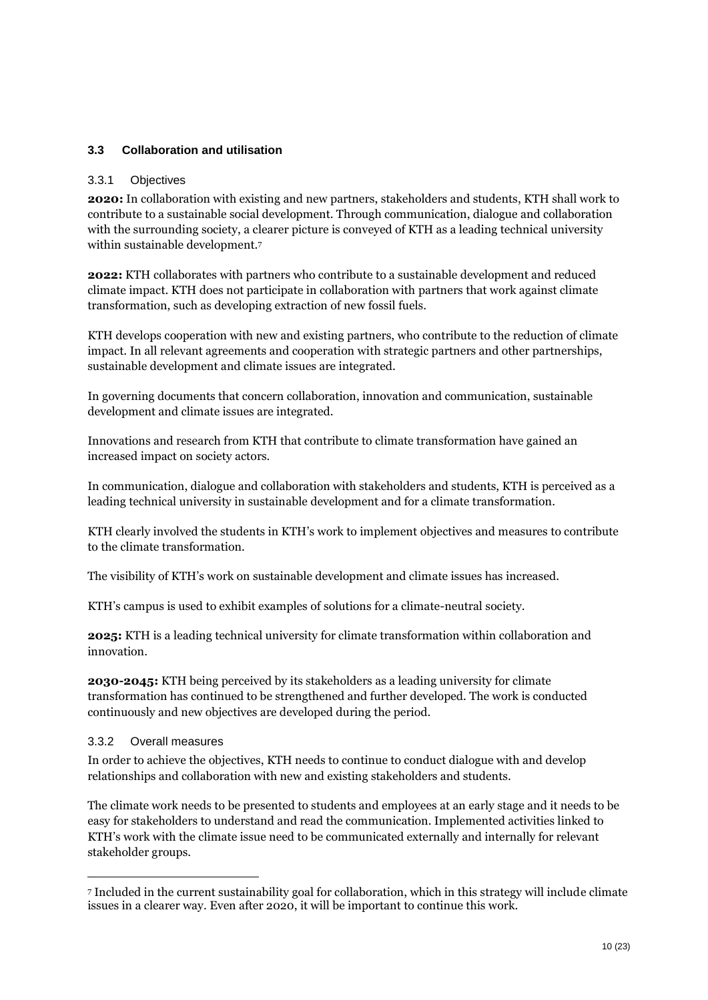#### <span id="page-9-0"></span>**3.3 Collaboration and utilisation**

#### 3.3.1 Objectives

**2020:** In collaboration with existing and new partners, stakeholders and students, KTH shall work to contribute to a sustainable social development. Through communication, dialogue and collaboration with the surrounding society, a clearer picture is conveyed of KTH as a leading technical university within sustainable development.<sup>7</sup>

**2022:** KTH collaborates with partners who contribute to a sustainable development and reduced climate impact. KTH does not participate in collaboration with partners that work against climate transformation, such as developing extraction of new fossil fuels.

KTH develops cooperation with new and existing partners, who contribute to the reduction of climate impact. In all relevant agreements and cooperation with strategic partners and other partnerships, sustainable development and climate issues are integrated.

In governing documents that concern collaboration, innovation and communication, sustainable development and climate issues are integrated.

Innovations and research from KTH that contribute to climate transformation have gained an increased impact on society actors.

In communication, dialogue and collaboration with stakeholders and students, KTH is perceived as a leading technical university in sustainable development and for a climate transformation.

KTH clearly involved the students in KTH's work to implement objectives and measures to contribute to the climate transformation.

The visibility of KTH's work on sustainable development and climate issues has increased.

KTH's campus is used to exhibit examples of solutions for a climate-neutral society.

**2025:** KTH is a leading technical university for climate transformation within collaboration and innovation.

**2030-2045:** KTH being perceived by its stakeholders as a leading university for climate transformation has continued to be strengthened and further developed. The work is conducted continuously and new objectives are developed during the period.

#### 3.3.2 Overall measures

 $\overline{a}$ 

In order to achieve the objectives, KTH needs to continue to conduct dialogue with and develop relationships and collaboration with new and existing stakeholders and students.

The climate work needs to be presented to students and employees at an early stage and it needs to be easy for stakeholders to understand and read the communication. Implemented activities linked to KTH's work with the climate issue need to be communicated externally and internally for relevant stakeholder groups.

<sup>7</sup> Included in the current sustainability goal for collaboration, which in this strategy will include climate issues in a clearer way. Even after 2020, it will be important to continue this work.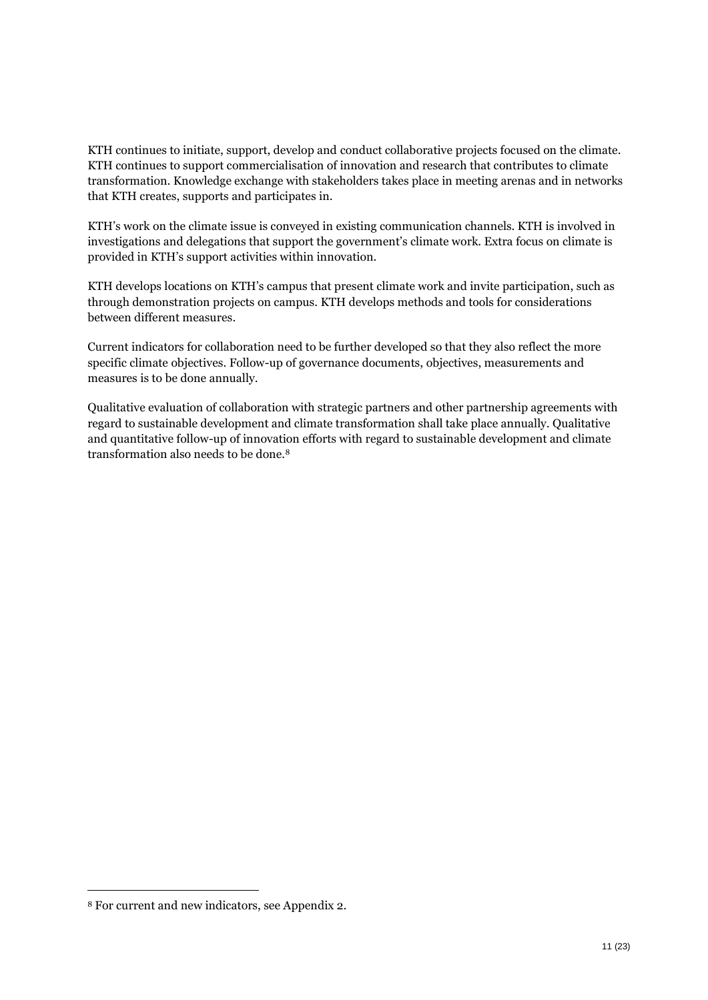KTH continues to initiate, support, develop and conduct collaborative projects focused on the climate. KTH continues to support commercialisation of innovation and research that contributes to climate transformation. Knowledge exchange with stakeholders takes place in meeting arenas and in networks that KTH creates, supports and participates in.

KTH's work on the climate issue is conveyed in existing communication channels. KTH is involved in investigations and delegations that support the government's climate work. Extra focus on climate is provided in KTH's support activities within innovation.

KTH develops locations on KTH's campus that present climate work and invite participation, such as through demonstration projects on campus. KTH develops methods and tools for considerations between different measures.

Current indicators for collaboration need to be further developed so that they also reflect the more specific climate objectives. Follow-up of governance documents, objectives, measurements and measures is to be done annually.

Qualitative evaluation of collaboration with strategic partners and other partnership agreements with regard to sustainable development and climate transformation shall take place annually. Qualitative and quantitative follow-up of innovation efforts with regard to sustainable development and climate transformation also needs to be done.<sup>8</sup>

<sup>8</sup> For current and new indicators, see Appendix 2.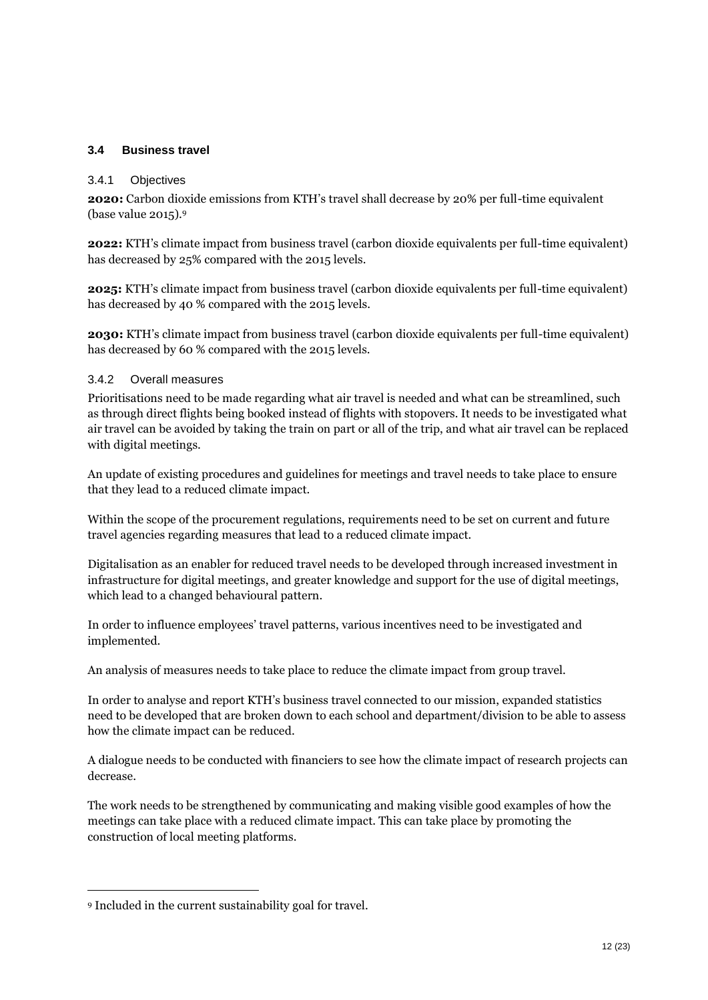#### <span id="page-11-0"></span>**3.4 Business travel**

#### 3.4.1 Objectives

**2020:** Carbon dioxide emissions from KTH's travel shall decrease by 20% per full-time equivalent (base value 2015).<sup>9</sup>

**2022:** KTH's climate impact from business travel (carbon dioxide equivalents per full-time equivalent) has decreased by 25% compared with the 2015 levels.

**2025:** KTH's climate impact from business travel (carbon dioxide equivalents per full-time equivalent) has decreased by 40 % compared with the 2015 levels.

**2030:** KTH's climate impact from business travel (carbon dioxide equivalents per full-time equivalent) has decreased by 60 % compared with the 2015 levels.

#### 3.4.2 Overall measures

Prioritisations need to be made regarding what air travel is needed and what can be streamlined, such as through direct flights being booked instead of flights with stopovers. It needs to be investigated what air travel can be avoided by taking the train on part or all of the trip, and what air travel can be replaced with digital meetings.

An update of existing procedures and guidelines for meetings and travel needs to take place to ensure that they lead to a reduced climate impact.

Within the scope of the procurement regulations, requirements need to be set on current and future travel agencies regarding measures that lead to a reduced climate impact.

Digitalisation as an enabler for reduced travel needs to be developed through increased investment in infrastructure for digital meetings, and greater knowledge and support for the use of digital meetings, which lead to a changed behavioural pattern.

In order to influence employees' travel patterns, various incentives need to be investigated and implemented.

An analysis of measures needs to take place to reduce the climate impact from group travel.

In order to analyse and report KTH's business travel connected to our mission, expanded statistics need to be developed that are broken down to each school and department/division to be able to assess how the climate impact can be reduced.

A dialogue needs to be conducted with financiers to see how the climate impact of research projects can decrease.

The work needs to be strengthened by communicating and making visible good examples of how the meetings can take place with a reduced climate impact. This can take place by promoting the construction of local meeting platforms.

<sup>9</sup> Included in the current sustainability goal for travel.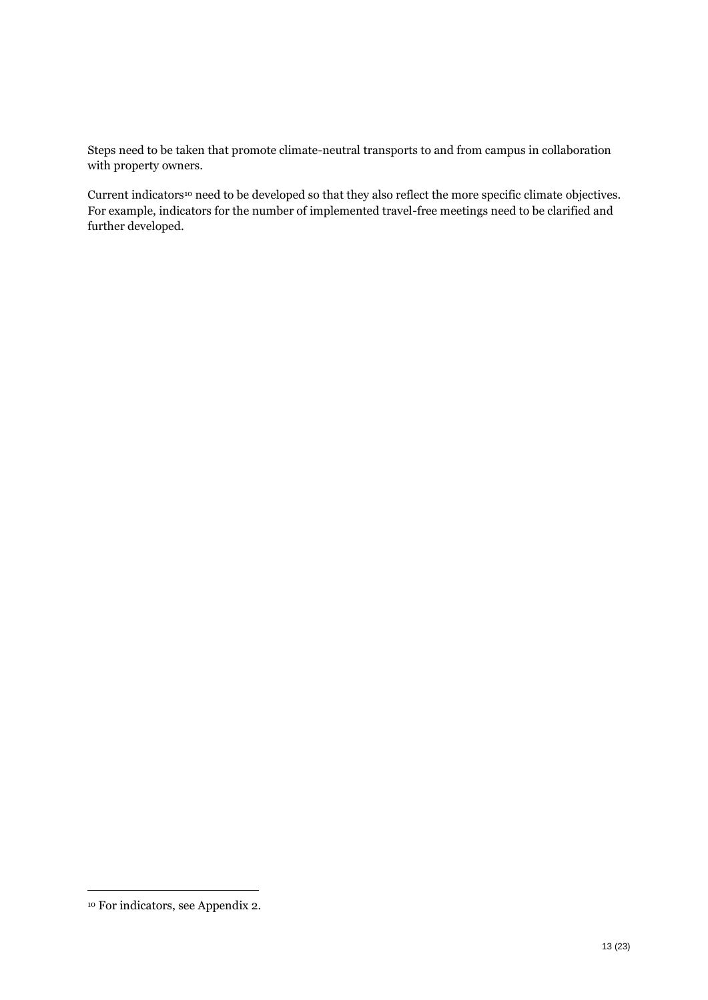Steps need to be taken that promote climate-neutral transports to and from campus in collaboration with property owners.

Current indicators<sup>10</sup> need to be developed so that they also reflect the more specific climate objectives. For example, indicators for the number of implemented travel-free meetings need to be clarified and further developed.

<sup>10</sup> For indicators, see Appendix 2.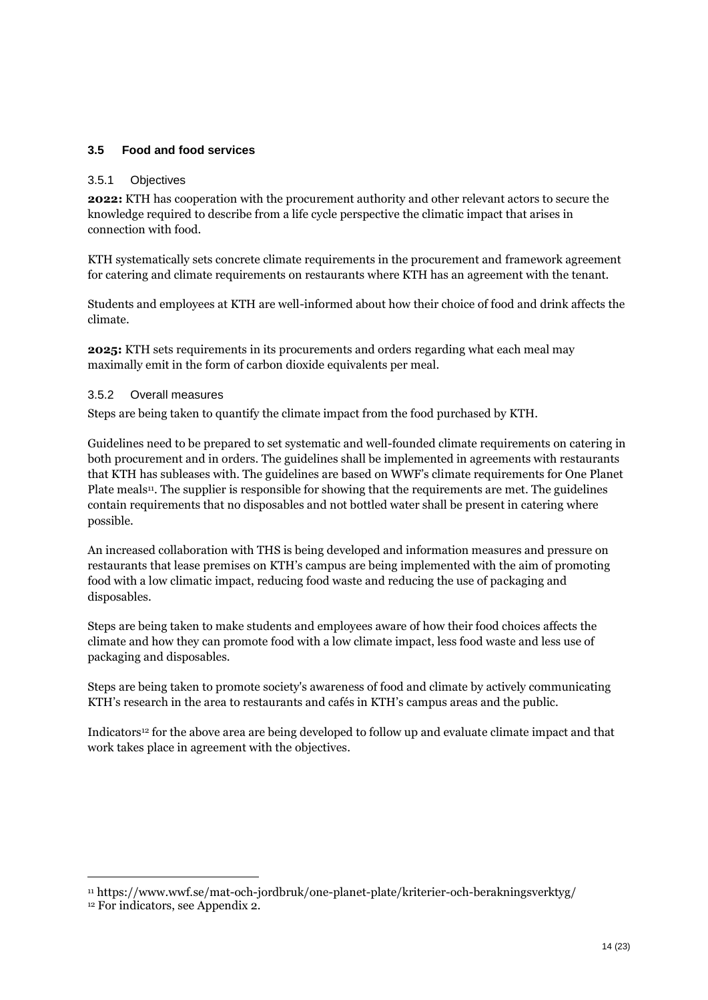#### <span id="page-13-0"></span>**3.5 Food and food services**

#### 3.5.1 Objectives

**2022:** KTH has cooperation with the procurement authority and other relevant actors to secure the knowledge required to describe from a life cycle perspective the climatic impact that arises in connection with food.

KTH systematically sets concrete climate requirements in the procurement and framework agreement for catering and climate requirements on restaurants where KTH has an agreement with the tenant.

Students and employees at KTH are well-informed about how their choice of food and drink affects the climate.

**2025:** KTH sets requirements in its procurements and orders regarding what each meal may maximally emit in the form of carbon dioxide equivalents per meal.

#### 3.5.2 Overall measures

Steps are being taken to quantify the climate impact from the food purchased by KTH.

Guidelines need to be prepared to set systematic and well-founded climate requirements on catering in both procurement and in orders. The guidelines shall be implemented in agreements with restaurants that KTH has subleases with. The guidelines are based on WWF's climate requirements for One Planet Plate meals<sup>11</sup>. The supplier is responsible for showing that the requirements are met. The guidelines contain requirements that no disposables and not bottled water shall be present in catering where possible.

An increased collaboration with THS is being developed and information measures and pressure on restaurants that lease premises on KTH's campus are being implemented with the aim of promoting food with a low climatic impact, reducing food waste and reducing the use of packaging and disposables.

Steps are being taken to make students and employees aware of how their food choices affects the climate and how they can promote food with a low climate impact, less food waste and less use of packaging and disposables.

Steps are being taken to promote society's awareness of food and climate by actively communicating KTH's research in the area to restaurants and cafés in KTH's campus areas and the public.

Indicators<sup>12</sup> for the above area are being developed to follow up and evaluate climate impact and that work takes place in agreement with the objectives.

<sup>11</sup> https://www.wwf.se/mat-och-jordbruk/one-planet-plate/kriterier-och-berakningsverktyg/

<sup>12</sup> For indicators, see Appendix 2.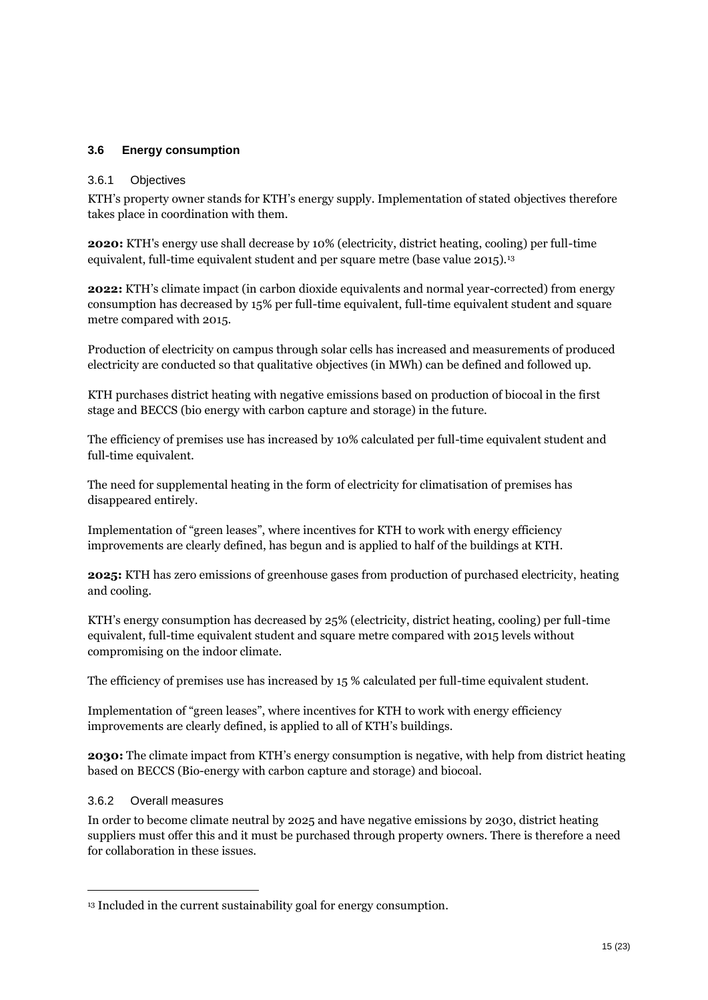#### <span id="page-14-0"></span>**3.6 Energy consumption**

#### 3.6.1 Objectives

KTH's property owner stands for KTH's energy supply. Implementation of stated objectives therefore takes place in coordination with them.

**2020:** KTH's energy use shall decrease by 10% (electricity, district heating, cooling) per full-time equivalent, full-time equivalent student and per square metre (base value 2015).<sup>13</sup>

**2022:** KTH's climate impact (in carbon dioxide equivalents and normal year-corrected) from energy consumption has decreased by 15% per full-time equivalent, full-time equivalent student and square metre compared with 2015.

Production of electricity on campus through solar cells has increased and measurements of produced electricity are conducted so that qualitative objectives (in MWh) can be defined and followed up.

KTH purchases district heating with negative emissions based on production of biocoal in the first stage and BECCS (bio energy with carbon capture and storage) in the future.

The efficiency of premises use has increased by 10% calculated per full-time equivalent student and full-time equivalent.

The need for supplemental heating in the form of electricity for climatisation of premises has disappeared entirely.

Implementation of "green leases", where incentives for KTH to work with energy efficiency improvements are clearly defined, has begun and is applied to half of the buildings at KTH.

**2025:** KTH has zero emissions of greenhouse gases from production of purchased electricity, heating and cooling.

KTH's energy consumption has decreased by 25% (electricity, district heating, cooling) per full-time equivalent, full-time equivalent student and square metre compared with 2015 levels without compromising on the indoor climate.

The efficiency of premises use has increased by 15 % calculated per full-time equivalent student.

Implementation of "green leases", where incentives for KTH to work with energy efficiency improvements are clearly defined, is applied to all of KTH's buildings.

**2030:** The climate impact from KTH's energy consumption is negative, with help from district heating based on BECCS (Bio-energy with carbon capture and storage) and biocoal.

#### 3.6.2 Overall measures

 $\overline{a}$ 

In order to become climate neutral by 2025 and have negative emissions by 2030, district heating suppliers must offer this and it must be purchased through property owners. There is therefore a need for collaboration in these issues.

<sup>&</sup>lt;sup>13</sup> Included in the current sustainability goal for energy consumption.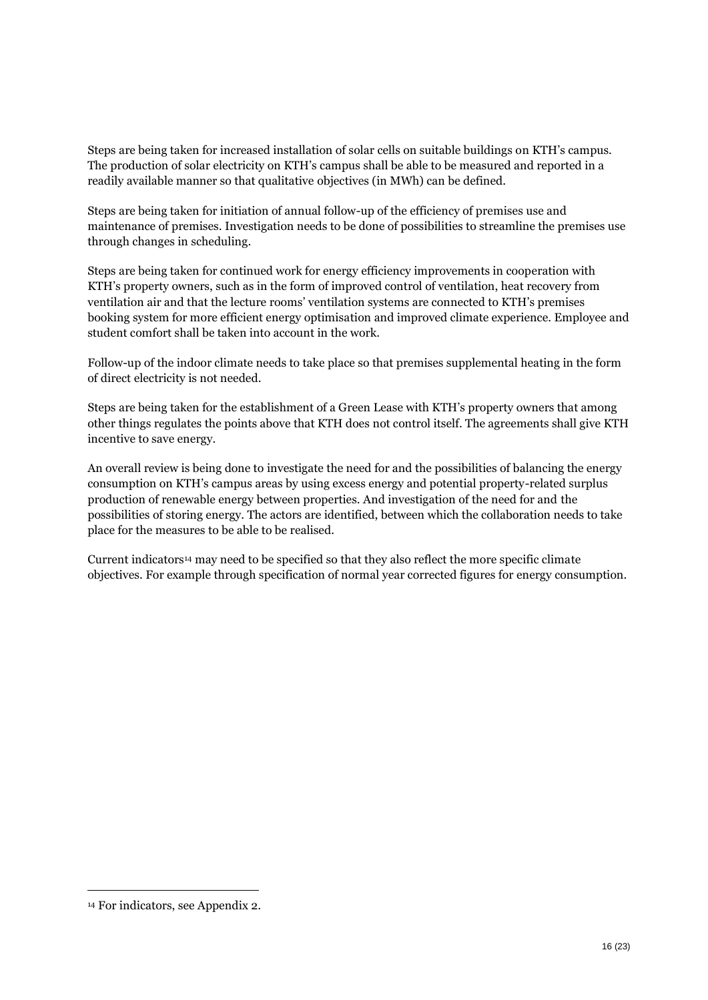Steps are being taken for increased installation of solar cells on suitable buildings on KTH's campus. The production of solar electricity on KTH's campus shall be able to be measured and reported in a readily available manner so that qualitative objectives (in MWh) can be defined.

Steps are being taken for initiation of annual follow-up of the efficiency of premises use and maintenance of premises. Investigation needs to be done of possibilities to streamline the premises use through changes in scheduling.

Steps are being taken for continued work for energy efficiency improvements in cooperation with KTH's property owners, such as in the form of improved control of ventilation, heat recovery from ventilation air and that the lecture rooms' ventilation systems are connected to KTH's premises booking system for more efficient energy optimisation and improved climate experience. Employee and student comfort shall be taken into account in the work.

Follow-up of the indoor climate needs to take place so that premises supplemental heating in the form of direct electricity is not needed.

Steps are being taken for the establishment of a Green Lease with KTH's property owners that among other things regulates the points above that KTH does not control itself. The agreements shall give KTH incentive to save energy.

An overall review is being done to investigate the need for and the possibilities of balancing the energy consumption on KTH's campus areas by using excess energy and potential property-related surplus production of renewable energy between properties. And investigation of the need for and the possibilities of storing energy. The actors are identified, between which the collaboration needs to take place for the measures to be able to be realised.

Current indicators<sup>14</sup> may need to be specified so that they also reflect the more specific climate objectives. For example through specification of normal year corrected figures for energy consumption.

<sup>14</sup> For indicators, see Appendix 2.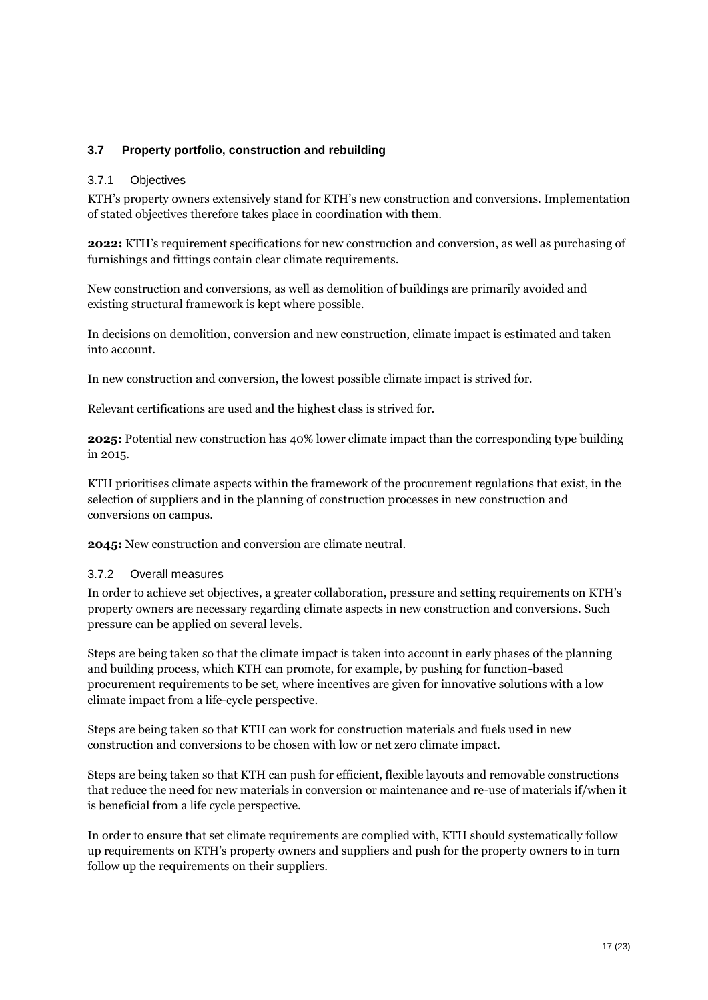#### <span id="page-16-0"></span>**3.7 Property portfolio, construction and rebuilding**

#### 3.7.1 Objectives

KTH's property owners extensively stand for KTH's new construction and conversions. Implementation of stated objectives therefore takes place in coordination with them.

**2022:** KTH's requirement specifications for new construction and conversion, as well as purchasing of furnishings and fittings contain clear climate requirements.

New construction and conversions, as well as demolition of buildings are primarily avoided and existing structural framework is kept where possible.

In decisions on demolition, conversion and new construction, climate impact is estimated and taken into account.

In new construction and conversion, the lowest possible climate impact is strived for.

Relevant certifications are used and the highest class is strived for.

**2025:** Potential new construction has 40% lower climate impact than the corresponding type building in 2015.

KTH prioritises climate aspects within the framework of the procurement regulations that exist, in the selection of suppliers and in the planning of construction processes in new construction and conversions on campus.

**2045:** New construction and conversion are climate neutral.

#### 3.7.2 Overall measures

In order to achieve set objectives, a greater collaboration, pressure and setting requirements on KTH's property owners are necessary regarding climate aspects in new construction and conversions. Such pressure can be applied on several levels.

Steps are being taken so that the climate impact is taken into account in early phases of the planning and building process, which KTH can promote, for example, by pushing for function-based procurement requirements to be set, where incentives are given for innovative solutions with a low climate impact from a life-cycle perspective.

Steps are being taken so that KTH can work for construction materials and fuels used in new construction and conversions to be chosen with low or net zero climate impact.

Steps are being taken so that KTH can push for efficient, flexible layouts and removable constructions that reduce the need for new materials in conversion or maintenance and re-use of materials if/when it is beneficial from a life cycle perspective.

In order to ensure that set climate requirements are complied with, KTH should systematically follow up requirements on KTH's property owners and suppliers and push for the property owners to in turn follow up the requirements on their suppliers.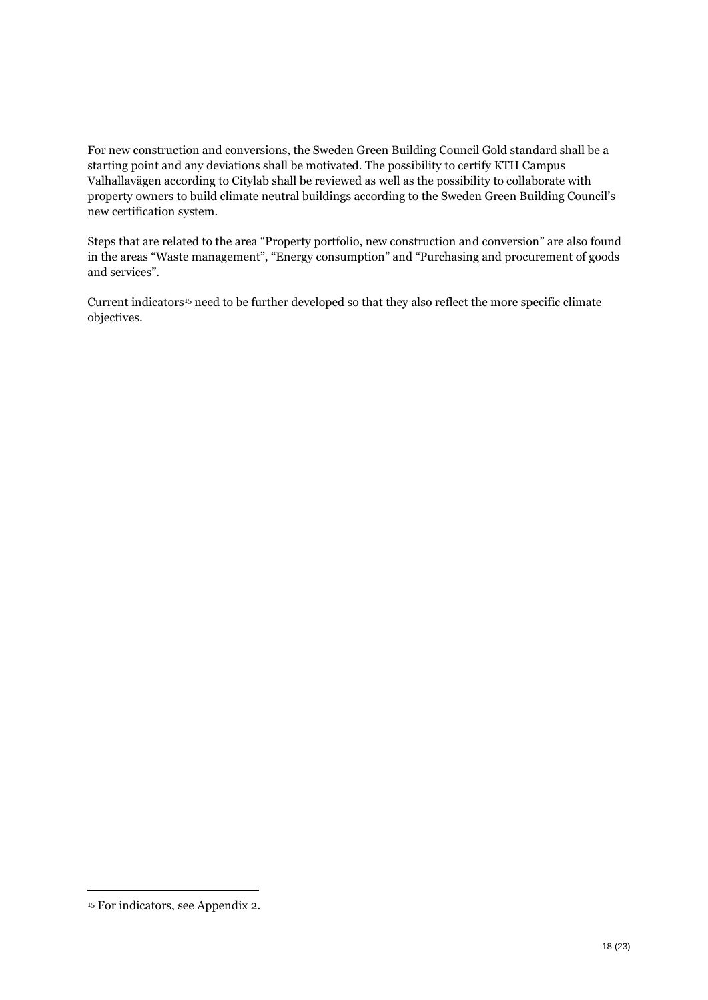For new construction and conversions, the Sweden Green Building Council Gold standard shall be a starting point and any deviations shall be motivated. The possibility to certify KTH Campus Valhallavägen according to Citylab shall be reviewed as well as the possibility to collaborate with property owners to build climate neutral buildings according to the Sweden Green Building Council's new certification system.

Steps that are related to the area "Property portfolio, new construction and conversion" are also found in the areas "Waste management", "Energy consumption" and "Purchasing and procurement of goods and services".

Current indicators<sup>15</sup> need to be further developed so that they also reflect the more specific climate objectives.

<sup>15</sup> For indicators, see Appendix 2.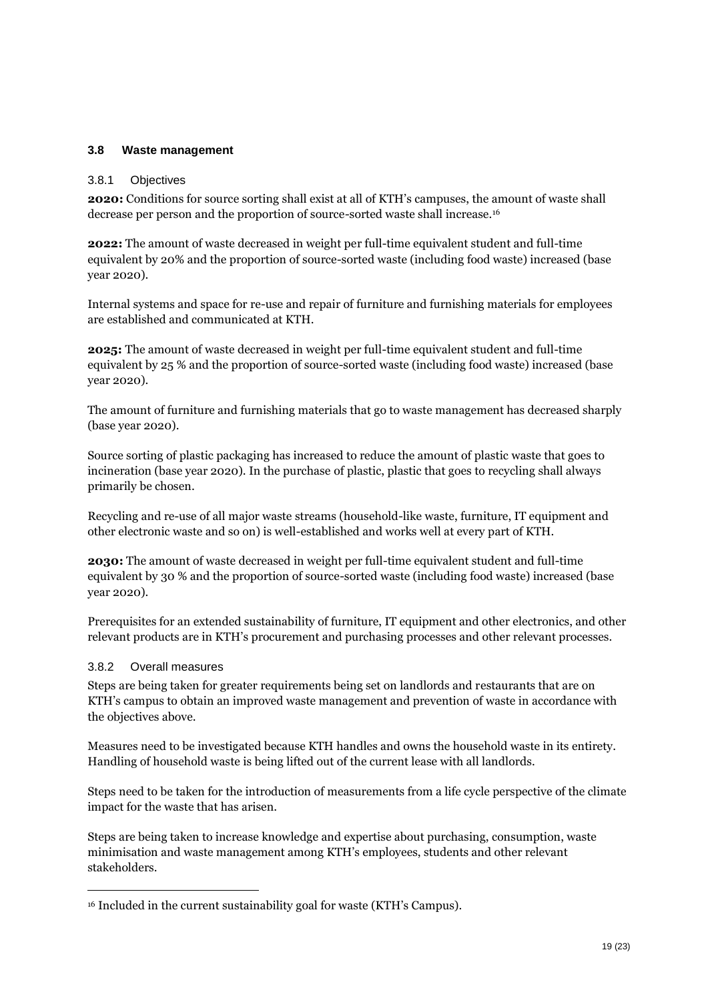#### <span id="page-18-0"></span>**3.8 Waste management**

#### 3.8.1 Objectives

**2020:** Conditions for source sorting shall exist at all of KTH's campuses, the amount of waste shall decrease per person and the proportion of source-sorted waste shall increase.<sup>16</sup>

**2022:** The amount of waste decreased in weight per full-time equivalent student and full-time equivalent by 20% and the proportion of source-sorted waste (including food waste) increased (base year 2020).

Internal systems and space for re-use and repair of furniture and furnishing materials for employees are established and communicated at KTH.

**2025:** The amount of waste decreased in weight per full-time equivalent student and full-time equivalent by 25 % and the proportion of source-sorted waste (including food waste) increased (base year 2020).

The amount of furniture and furnishing materials that go to waste management has decreased sharply (base year 2020).

Source sorting of plastic packaging has increased to reduce the amount of plastic waste that goes to incineration (base year 2020). In the purchase of plastic, plastic that goes to recycling shall always primarily be chosen.

Recycling and re-use of all major waste streams (household-like waste, furniture, IT equipment and other electronic waste and so on) is well-established and works well at every part of KTH.

**2030:** The amount of waste decreased in weight per full-time equivalent student and full-time equivalent by 30 % and the proportion of source-sorted waste (including food waste) increased (base year 2020).

Prerequisites for an extended sustainability of furniture, IT equipment and other electronics, and other relevant products are in KTH's procurement and purchasing processes and other relevant processes.

#### 3.8.2 Overall measures

 $\overline{a}$ 

Steps are being taken for greater requirements being set on landlords and restaurants that are on KTH's campus to obtain an improved waste management and prevention of waste in accordance with the objectives above.

Measures need to be investigated because KTH handles and owns the household waste in its entirety. Handling of household waste is being lifted out of the current lease with all landlords.

Steps need to be taken for the introduction of measurements from a life cycle perspective of the climate impact for the waste that has arisen.

Steps are being taken to increase knowledge and expertise about purchasing, consumption, waste minimisation and waste management among KTH's employees, students and other relevant stakeholders.

<sup>16</sup> Included in the current sustainability goal for waste (KTH's Campus).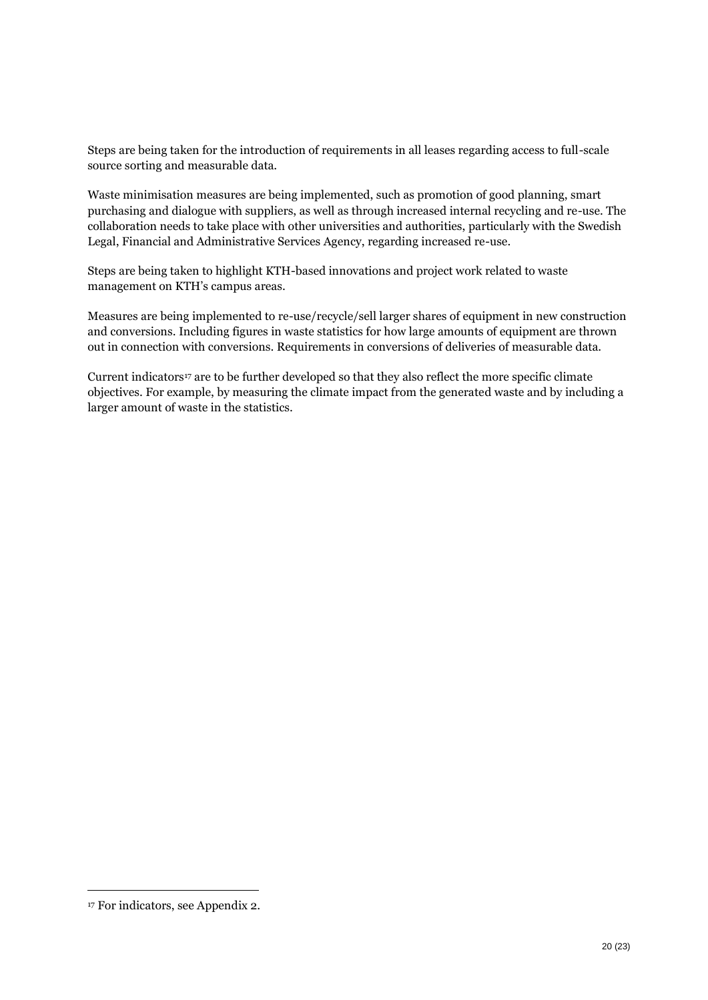Steps are being taken for the introduction of requirements in all leases regarding access to full-scale source sorting and measurable data.

Waste minimisation measures are being implemented, such as promotion of good planning, smart purchasing and dialogue with suppliers, as well as through increased internal recycling and re-use. The collaboration needs to take place with other universities and authorities, particularly with the Swedish Legal, Financial and Administrative Services Agency, regarding increased re-use.

Steps are being taken to highlight KTH-based innovations and project work related to waste management on KTH's campus areas.

Measures are being implemented to re-use/recycle/sell larger shares of equipment in new construction and conversions. Including figures in waste statistics for how large amounts of equipment are thrown out in connection with conversions. Requirements in conversions of deliveries of measurable data.

Current indicators<sup>17</sup> are to be further developed so that they also reflect the more specific climate objectives. For example, by measuring the climate impact from the generated waste and by including a larger amount of waste in the statistics.

<sup>17</sup> For indicators, see Appendix 2.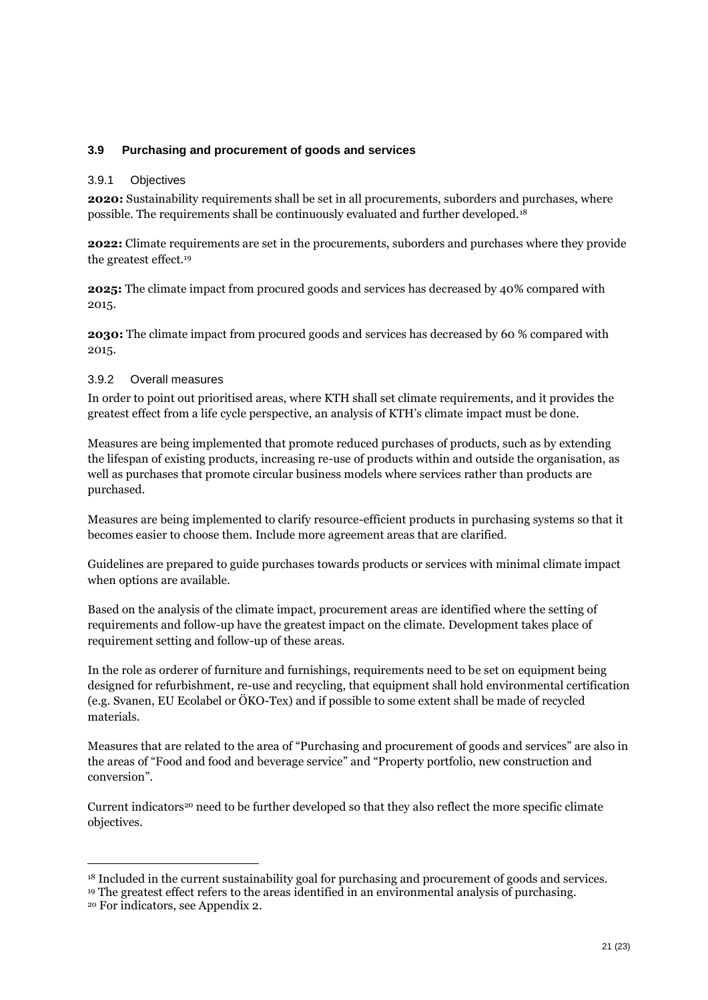#### <span id="page-20-0"></span>**3.9 Purchasing and procurement of goods and services**

#### 3.9.1 Objectives

**2020:** Sustainability requirements shall be set in all procurements, suborders and purchases, where possible. The requirements shall be continuously evaluated and further developed.<sup>18</sup>

**2022:** Climate requirements are set in the procurements, suborders and purchases where they provide the greatest effect.<sup>19</sup>

**2025:** The climate impact from procured goods and services has decreased by 40% compared with 2015.

**2030:** The climate impact from procured goods and services has decreased by 60 % compared with 2015.

#### 3.9.2 Overall measures

In order to point out prioritised areas, where KTH shall set climate requirements, and it provides the greatest effect from a life cycle perspective, an analysis of KTH's climate impact must be done.

Measures are being implemented that promote reduced purchases of products, such as by extending the lifespan of existing products, increasing re-use of products within and outside the organisation, as well as purchases that promote circular business models where services rather than products are purchased.

Measures are being implemented to clarify resource-efficient products in purchasing systems so that it becomes easier to choose them. Include more agreement areas that are clarified.

Guidelines are prepared to guide purchases towards products or services with minimal climate impact when options are available.

Based on the analysis of the climate impact, procurement areas are identified where the setting of requirements and follow-up have the greatest impact on the climate. Development takes place of requirement setting and follow-up of these areas.

In the role as orderer of furniture and furnishings, requirements need to be set on equipment being designed for refurbishment, re-use and recycling, that equipment shall hold environmental certification (e.g. Svanen, EU Ecolabel or ÖKO-Tex) and if possible to some extent shall be made of recycled materials.

Measures that are related to the area of "Purchasing and procurement of goods and services" are also in the areas of "Food and food and beverage service" and "Property portfolio, new construction and conversion".

Current indicators<sup>20</sup> need to be further developed so that they also reflect the more specific climate objectives.

<sup>18</sup> Included in the current sustainability goal for purchasing and procurement of goods and services.

<sup>19</sup> The greatest effect refers to the areas identified in an environmental analysis of purchasing.

<sup>20</sup> For indicators, see Appendix 2.